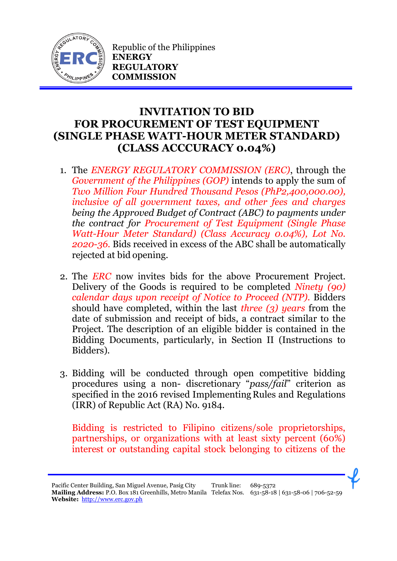

Republic of the Philippines **ENERGY REGULATORY COMMISSION**

## **INVITATION TO BID FOR PROCUREMENT OF TEST EQUIPMENT (SINGLE PHASE WATT-HOUR METER STANDARD) (CLASS ACCCURACY 0.04%)**

- 1. The *ENERGY REGULATORY COMMISSION (ERC)*, through the *Government of the Philippines (GOP)* intends to apply the sum of *Two Million Four Hundred Thousand Pesos (PhP2,400,000.00), inclusive of all government taxes, and other fees and charges being the Approved Budget of Contract (ABC) to payments under the contract for Procurement of Test Equipment (Single Phase Watt-Hour Meter Standard) (Class Accuracy 0.04%), Lot No. 2020-36.* Bids received in excess of the ABC shall be automatically rejected at bid opening.
- 2. The *ERC* now invites bids for the above Procurement Project. Delivery of the Goods is required to be completed *Ninety (90) calendar days upon receipt of Notice to Proceed (NTP).* Bidders should have completed, within the last *three (3) years* from the date of submission and receipt of bids, a contract similar to the Project. The description of an eligible bidder is contained in the Bidding Documents, particularly, in Section II (Instructions to Bidders).
- 3. Bidding will be conducted through open competitive bidding procedures using a non- discretionary "*pass/fail*" criterion as specified in the 2016 revised Implementing Rules and Regulations (IRR) of Republic Act (RA) No. 9184.

Bidding is restricted to Filipino citizens/sole proprietorships, partnerships, or organizations with at least sixty percent (60%) interest or outstanding capital stock belonging to citizens of the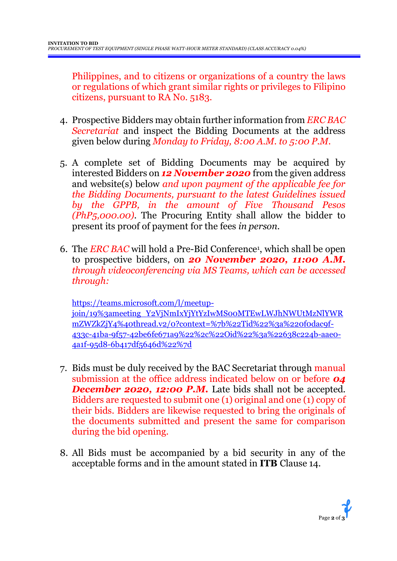Philippines, and to citizens or organizations of a country the laws or regulations of which grant similar rights or privileges to Filipino citizens, pursuant to RA No. 5183.

- 4. Prospective Bidders may obtain further information from *ERC BAC Secretariat* and inspect the Bidding Documents at the address given below during *Monday to Friday, 8:00 A.M. to 5:00 P.M*.
- 5. A complete set of Bidding Documents may be acquired by interested Bidders on *12 November 2020* from the given address and website(s) below *and upon payment of the applicable fee for the Bidding Documents, pursuant to the latest Guidelines issued by the GPPB, in the amount of Five Thousand Pesos (PhP5,000.00)*. The Procuring Entity shall allow the bidder to present its proof of payment for the fees *in person.*
- 6. The *ERC BAC* will hold a Pre-Bid Conference<sup>1</sup> , which shall be open to prospective bidders, on *20 November 2020, 11:00 A.M. through videoconferencing via MS Teams, which can be accessed through:*

[https://teams.microsoft.com/l/meetup](https://teams.microsoft.com/l/meetup-join/19%3ameeting_Y2VjNmIxYjYtYzIwMS00MTEwLWJhNWUtMzNlYWRmZWZkZjY4%40thread.v2/0?context=%7b%22Tid%22%3a%220f0dac9f-433c-41ba-9f57-42be6fe671a9%22%2c%22Oid%22%3a%22638c224b-aae0-4a1f-95d8-6b417df5646d%22%7d)[join/19%3ameeting\\_Y2VjNmIxYjYtYzIwMS00MTEwLWJhNWUtMzNlYWR](https://teams.microsoft.com/l/meetup-join/19%3ameeting_Y2VjNmIxYjYtYzIwMS00MTEwLWJhNWUtMzNlYWRmZWZkZjY4%40thread.v2/0?context=%7b%22Tid%22%3a%220f0dac9f-433c-41ba-9f57-42be6fe671a9%22%2c%22Oid%22%3a%22638c224b-aae0-4a1f-95d8-6b417df5646d%22%7d) [mZWZkZjY4%40thread.v2/0?context=%7b%22Tid%22%3a%220f0dac9f-](https://teams.microsoft.com/l/meetup-join/19%3ameeting_Y2VjNmIxYjYtYzIwMS00MTEwLWJhNWUtMzNlYWRmZWZkZjY4%40thread.v2/0?context=%7b%22Tid%22%3a%220f0dac9f-433c-41ba-9f57-42be6fe671a9%22%2c%22Oid%22%3a%22638c224b-aae0-4a1f-95d8-6b417df5646d%22%7d)[433c-41ba-9f57-42be6fe671a9%22%2c%22Oid%22%3a%22638c224b-aae0-](https://teams.microsoft.com/l/meetup-join/19%3ameeting_Y2VjNmIxYjYtYzIwMS00MTEwLWJhNWUtMzNlYWRmZWZkZjY4%40thread.v2/0?context=%7b%22Tid%22%3a%220f0dac9f-433c-41ba-9f57-42be6fe671a9%22%2c%22Oid%22%3a%22638c224b-aae0-4a1f-95d8-6b417df5646d%22%7d) [4a1f-95d8-6b417df5646d%22%7d](https://teams.microsoft.com/l/meetup-join/19%3ameeting_Y2VjNmIxYjYtYzIwMS00MTEwLWJhNWUtMzNlYWRmZWZkZjY4%40thread.v2/0?context=%7b%22Tid%22%3a%220f0dac9f-433c-41ba-9f57-42be6fe671a9%22%2c%22Oid%22%3a%22638c224b-aae0-4a1f-95d8-6b417df5646d%22%7d)

- 7. Bids must be duly received by the BAC Secretariat through manual submission at the office address indicated below on or before *04*  **December 2020, 12:00 P.M.** Late bids shall not be accepted. Bidders are requested to submit one (1) original and one (1) copy of their bids. Bidders are likewise requested to bring the originals of the documents submitted and present the same for comparison during the bid opening.
- 8. All Bids must be accompanied by a bid security in any of the acceptable forms and in the amount stated in **ITB** Clause 14.